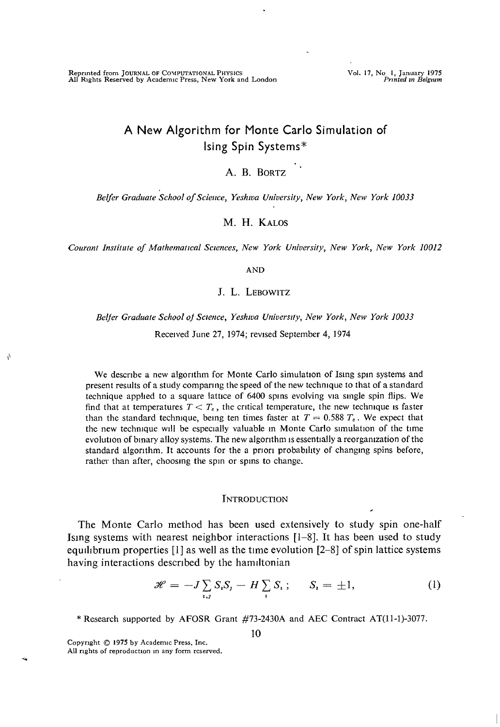# A New Algorithm for Monte Carlo Simulation of Ising Spin Systems\*

# A. B. BORTZ

*Belfer Graduate School of Science, Yeshwa University, New York, New York 10033*

# M. H. KALOS

*Courant Institute of Mathematical Sciences, New York University, New York, New York 10012*

AND

J. L. LEBOWITZ

*Beljer Graduate School oj Science, Yeshwa University, New York, New York 10033* Received June 27, 1974; revised September 4, 1974

We describe a new algorithm for Monte Carlo simulation of Ising spin systems and present results of a study comparing the speed of the new technique to that of a standard technique applied to a square lattice of 6400 spins evolving via single spin flips. We find that at temperatures  $T < T<sub>c</sub>$ , the critical temperature, the new technique is faster than the standard technique, being ten times faster at  $T = 0.588 T_c$ . We expect that the new technique will be especially valuable in Monte Carlo simulation of the time evolution of binary alloy systems. The new algorithm is essentially a reorganization of the standard algorithm. It accounts for the a priori probability of changing spins before, rather than after, choosing the spin or spins to change.

## **INTRODUCTION**

The Monte Carlo method has been used extensively to study spin one-half Ismg systems with nearest neighbor interactions [1-8]. It has been used to study equilibrium properties [1] as well as the time evolution [2-8] of spin lattice systems having interactions described by the hamiltonian

$$
\mathscr{H} = -J\sum_{i,j} S_i S_j - H\sum_i S_i ; \qquad S_i = \pm 1, \tag{1}
$$

\* Research supported by AFOSR Grant #73-2430A and AEC Contract AT(11-1)-3077.

Copyright © 1975 by Academic Press, Inc. All rights of reproduction in any form reserved.

 $\Lambda$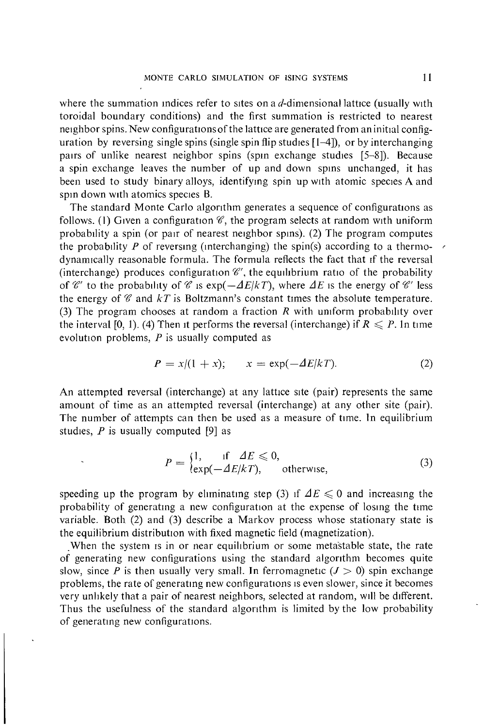where the summation indices refer to sites on a  $d$ -dimensional lattice (usually with toroidal boundary conditions) and the first summation is restricted to nearest neighbor spins. New configurations of the lattice are generated from an initial configuration by reversing single spins (single spin flip studies [1-4]), or by interchanging pairs of unlike nearest neighbor spins (spin exchange studies [5-8]). Because a spin exchange leaves the number of up and down spins unchanged, it has been used to study binary alloys, identifying spin up with atomic species A and spin down with atomics species B.

The standard Monte Carlo algorithm generates a sequence of configurations as follows. (1) Given a configuration  $\mathscr{C}$ , the program selects at random with uniform probability a spin (or pair of nearest neighbor spins). (2) The program computes the probability *P* of reversing (interchanging) the spin(s) according to a thermodynamically reasonable formula. The formula reflects the fact that if the reversal (interchange) produces configuration  $\mathscr{C}'$ , the equilibrium ratio of the probability of  $\mathscr C'$  to the probability of  $\mathscr C$  is exp( $-\Delta E/kT$ ), where  $\Delta E$  is the energy of  $\mathscr C'$  less the energy of  $C$  and  $kT$  is Boltzmann's constant times the absolute temperature. (3) The program chooses at random a fraction *R* with uniform probability over the interval [0, 1]. (4) Then it performs the reversal (interchange) if  $R \leq P$ . In time evolution problems, *P* is usually computed as

$$
P = x/(1 + x); \qquad x = \exp(-\Delta E/kT). \tag{2}
$$

An attempted reversal (interchange) at any lattice site (pair) represents the same amount of time as an attempted reversal (interchange) at any other site (pair). The number of attempts can then be used as a measure of time. In equilibrium studies, *P* is usually computed [9] as

$$
P = \begin{cases} 1, & \text{if } \Delta E \le 0, \\ \exp(-\Delta E/kT), & \text{otherwise,} \end{cases}
$$
 (3)

speeding up the program by eliminating step (3) if  $\Delta E \leq 0$  and increasing the probability of generating a new configuration at the expense of losing the time variable. Both (2) and (3) describe a Markov process whose stationary state is the equilibrium distribution with fixed magnetic field (magnetization).

When the system is in or near equilibrium or some metastable state, the rate of generating new configurations using the standard algorithm becomes quite slow, since P is then usually very small. In ferromagnetic  $(J > 0)$  spin exchange problems, the rate of generating new configurations is even slower, since it becomes very unlikely that a pair of nearest neighbors, selected at random, will be different. Thus the usefulness of the standard algorithm is limited by the low probability of generating new configurations.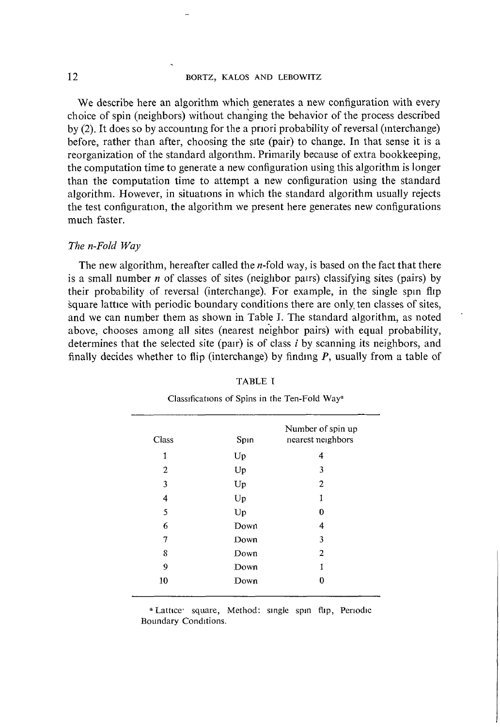We describe here an algorithm which generates a new configuration with every choice of spin (neighbors) without changing the behavior of the process described by (2). It does so by accounting for the a priori probability of reversal (interchange) before, rather than after, choosing the site (pair) to change. In that sense it is a reorganization of the standard algorithm. Primarily because of extra bookkeeping, the computation time to generate a new configuration using this algorithm is longer than the computation time to attempt a new configuration using the standard algorithm. However, in situations in which the standard algorithm usually rejects the test configuration, the algorithm we present here generates new configurations much faster.

## *The n-Fold Way*

The new algorithm, hereafter called the  $n$ -fold way, is based on the fact that there is a small number *n* of classes of sites (neighbor pairs) classifying sites (pairs) by their probability of reversal (interchange). For example, in the single spin flip square lattice with periodic boundary conditions there are only, ten classes of sites, and we can number them as shown in Table I. The standard algorithm, as noted above, chooses among all sites (nearest neighbor pairs) with equal probability, determines that the selected site (pair) is of class *i* by scanning its neighbors, and finally decides whether to flip (interchange) by finding  $P$ , usually from a table of

| Class          | Spin | Number of spin up<br>nearest neighbors |
|----------------|------|----------------------------------------|
| 1              | Up   | 4                                      |
| $\overline{2}$ | Up   | 3                                      |
| 3              | Up   | 2                                      |
| 4              | Up   | 1                                      |
| 5              | Up   | 0                                      |
| 6              | Down | 4                                      |
| 7              | Down | 3                                      |
| 8              | Down | $\overline{2}$                         |
| 9              | Down | 1                                      |
| 10             | Down | O                                      |

TABLE I

Classifications of Spins in the Ten-Fold Way"

"Lattice' square, Method: single spin flip, Periodic Boundary Conditions.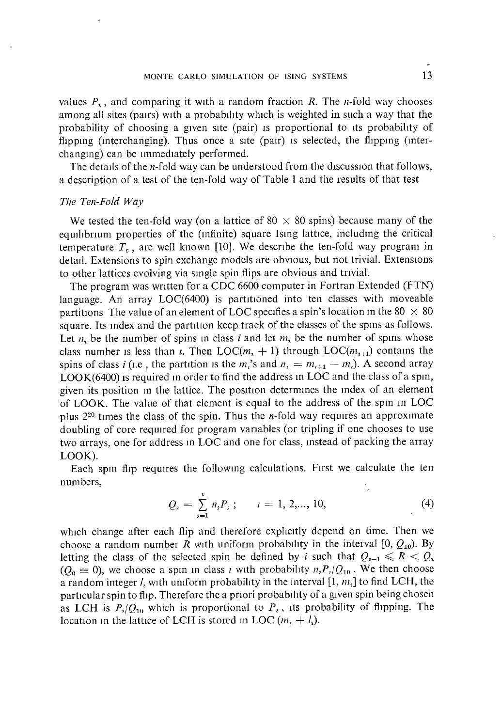values  $P_t$ , and comparing it with a random fraction R. The *n*-fold way chooses among all sites (pairs) with a probability which is weighted in such a way that the probability of choosing a given site (pair) is proportional to its probability of flipping (interchanging). Thus once a site (pair) is selected, the flipping (interchanging) can be immediately performed.

The details of the  $n$ -fold way can be understood from the discussion that follows, a description of a test of the ten-fold way of Table I and the results of that test

## *The Ten-Fold Way*

We tested the ten-fold way (on a lattice of 80  $\times$  80 spins) because many of the equilibrium properties of the (infinite) square Ismg lattice, including the critical temperature  $T<sub>c</sub>$ , are well known [10]. We describe the ten-fold way program in detail. Extensions to spin exchange models are obvious, but not trivial. Extensions to other lattices evolving via single spin flips are obvious and trivial.

The program was written for a CDC 6600 computer in Fortran Extended (FTN) language. An array LOC(6400) is partitioned into ten classes with moveable partitions The value of an element of LOC specifies a spin's location in the 80  $\times$  80 square. Its index and the partition keep track of the classes of the spins as follows. Let  $n_i$  be the number of spins in class i and let  $m_i$  be the number of spins whose class number is less than *i*. Then LOC( $m<sub>i</sub> + 1$ ) through LOC( $m<sub>i+1</sub>$ ) contains the spins of class *i* (i.e, the partition is the  $m_i$ 's and  $n_i = m_{i+1} - m_i$ ). A second array LOOK(6400) is required in order to find the address in LOG and the class of a spin, given its position in the lattice. The position determines the index of an element of LOOK. The value of that element is equal to the address of the spin in LOG plus  $2^{20}$  times the class of the spin. Thus the *n*-fold way requires an approximate doubling of core required for program variables (or tripling if one chooses to use two arrays, one for address in LOG and one for class, instead of packing the array LOOK).

Each spin flip requires the following calculations. First we calculate the ten numbers,

$$
Q_i = \sum_{j=1}^i n_j P_j; \qquad i = 1, 2, ..., 10,
$$
 (4)

which change after each flip and therefore explicitly depend on time. Then we choose a random number R with uniform probability in the interval  $[0, Q_{10})$ . By letting the class of the selected spin be defined by i such that  $Q_{t-1} \le R < Q_t$  $(Q_0 \equiv 0)$ , we choose a spin in class *i* with probability  $n_i P_i/Q_{10}$ . We then choose a random integer  $l_i$  with uniform probability in the interval  $[1, m_i]$  to find LCH, the particular spin to flip. Therefore the a priori probability of a given spin being chosen as LCH is  $P_1/Q_{10}$  which is proportional to  $P_1$ , its probability of flipping. The location in the lattice of LCH is stored in LOC  $(m_i + l_i)$ .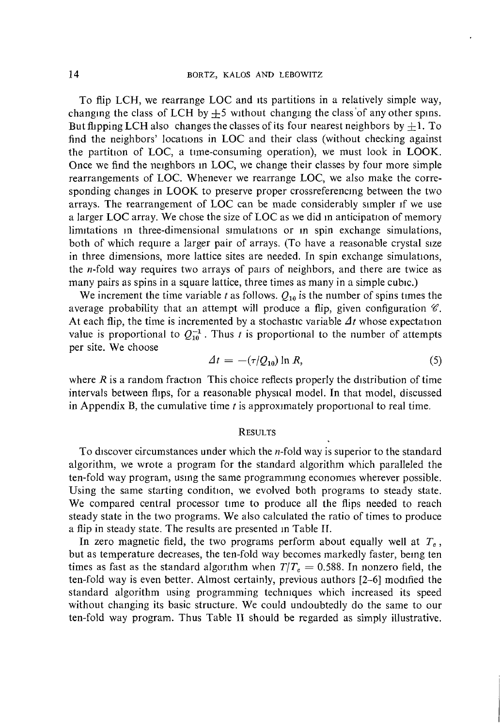To flip LCH, we rearrange LOG and its partitions in a relatively simple way, changing the class of LCH by  $+5$  without changing the class of any other spins. But flipping LCH also changes the classes of its four nearest neighbors by  $\pm 1$ . To find the neighbors' locations in LOC and their class (without checking against the partition of LOC, a time-consuming operation), we must look in LOOK. Once we find the neighbors in LOC, we change their classes by four more simple rearrangements of LOC. Whenever we rearrange LOC, we also make the corresponding changes in LOOK to preserve proper crossreferencing between the two arrays. The rearrangement of LOC can be made considerably simpler if we use a larger LOC array. We chose the size of LOC as we did in anticipation of memory limitations in three-dimensional simulations or in spin exchange simulations, both of which require a larger pair of arrays. (To have a reasonable crystal size in three dimensions, more lattice sites are needed. In spin exchange simulations, the  $n$ -fold way requires two arrays of pairs of neighbors, and there are twice as many pairs as spins in a square lattice, three times as many in a simple cubic.)

We increment the time variable *t* as follows.  $Q_{10}$  is the number of spins times the average probability that an attempt will produce a flip, given configuration *<sup>&</sup>lt;S.* At each flip, the time is incremented by a stochastic variable  $\Delta t$  whose expectation value is proportional to  $Q_{10}^{-1}$ . Thus *t* is proportional to the number of attempts per site. We choose

$$
\varDelta t = -(\tau/\mathcal{Q}_{10}) \ln R, \tag{5}
$$

where *R* is a random fraction This choice reflects properly the distribution of time intervals between flips, for a reasonable physical model. In that model, discussed in Appendix B, the cumulative time  $t$  is approximately proportional to real time.

## RESULTS

To discover circumstances under which the  $n$ -fold way is superior to the standard algorithm, we wrote a program for the standard algorithm which paralleled the ten-fold way program, using the same programming economies wherever possible. Using the same starting condition, we evolved both programs to steady state. We compared central processor time to produce all the flips needed to reach steady state in the two programs. We also calculated the ratio of times to produce a flip in steady state. The results are presented in Table II.

In zero magnetic field, the two programs perform about equally well at *Tc,* but as temperature decreases, the ten-fold way becomes markedly faster, being ten times as fast as the standard algorithm when  $T/T_c = 0.588$ . In nonzero field, the ten-fold way is even better. Almost certainly, previous authors [2-6] modified the standard algorithm using programming techniques which increased its speed without changing its basic structure. We could undoubtedly do the same to our ten-fold way program. Thus Table II should be regarded as simply illustrative.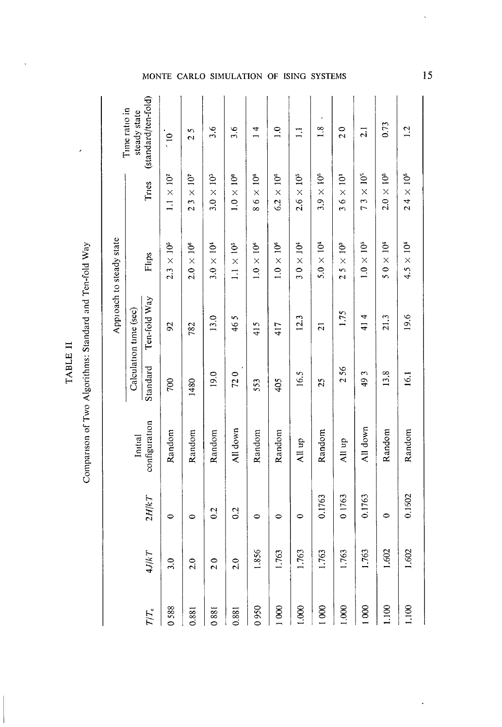| Comparison of Two Algorithms: Standard and Ten-fold Way |
|---------------------------------------------------------|
|                                                         |
|                                                         |
|                                                         |
|                                                         |

Time ratio in Time ratio in .<br>∶ם  $23 \times 10^7$  $1.1 \times 10^7$  $3.0 \times 10^5$ Tries Approach to steady state Appioach to steady state  $3.0 \times 10<sup>4</sup>$  $2.3 \times 10^{5}$  $2.0 \times 10^{6}$ Flips Ten-fold Way Ten-fold Way Calculation time (sec) Calculation time (sec) 13.0 782 92 Standard 19.0 1480 700 Inital<br>configuration configuration Random Random Random *2H/kT*  $\circ$  $\circ$ 3.0 2.0 20

#### MONTE CARL O SIMULATIO N OF ISIN G SYSTEMS

15

*TIT.* 0588 0.881 0881 0.881 0950 1 000 1.000 1 000 1.000 1 000 1.100 1.100 *4J/kT* 2.0 1.856 1.763 1.763 1.763 1.763 1.763 1.602 1.602 0.2 0.2  $\circ$  $\circ$  $\circ$ 0.1763 0 1763 0.1763  $\circ$ 0.1602 All down Random Random All up Random All up All down Random Random 720 553 405 16.5 25 256 493 13.8 J6.1 465 415 417 12.3 21 1.75 41 4 21.3 19.6  $1.1 \times 10^5$  $1.0 \times 10^6$  $1.0 \times 10^6$  $3.0 \times 10^4$  $5.0 \times 1$  $\tilde{D}^4$  $2.5 \times 10^3$  $1.0 \times 10^5$  $5.0 \times 10^4$  $4.5 \times 10^{4}$  $1.0 \times 10^{\rm s}$  $86 \times 10^{6}$  $6.2 \times 10^6$  $2.6 \times 10^5$  $3.9 \times 10^5$  $36 \times 10$ <sup>1</sup>  $73 \times 10^5$  $2.0 \times 10^5$  $24 \times 10^{6}$ steady state<br>(standard/ten-fold) (standard/ten-fold) 2 5 3.6 3.6  $\frac{4}{1}$ 1.0 1.1 1.8 • 20 2.1 0.73 1.2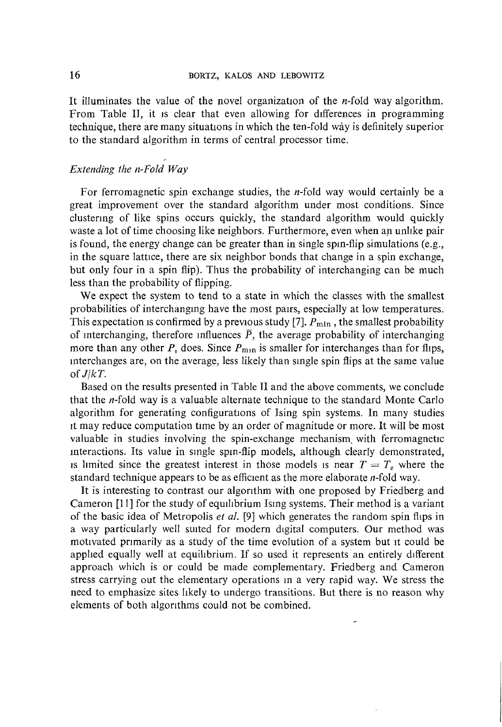It illuminates the value of the novel organization of the  $n$ -fold way algorithm. From Table II, it is clear that even allowing for differences in programming technique, there are many situations in which the ten-fold way is definitely superior to the standard algorithm in terms of central processor time.

# *Extending the n-Fold Way*

For ferromagnetic spin exchange studies, the n-fold way would certainly be a great improvement over the standard algorithm under most conditions. Since clustering of like spins occurs quickly, the standard algorithm would quickly waste a lot of time choosing like neighbors. Furthermore, even when an unlike pair is found, the energy change can be greater than in single spin-flip simulations (e.g., in the square lattice, there are six neighbor bonds that change in a spin exchange, but only four in a spin flip). Thus the probability of interchanging can be much less than the probability of flipping.

We expect the system to tend to a state in which the classes with the smallest probabilities of interchanging have the most pairs, especially at low temperatures. This expectation is confirmed by a previous study [7].  $P_{\text{min}}$ , the smallest probability of interchanging, therefore influences  $\bar{P}$ , the average probability of interchanging more than any other  $P_i$  does. Since  $P_{\text{min}}$  is smaller for interchanges than for flips, interchanges are, on the average, less likely than single spin flips at the same value of *JjkT.*

Based on the results presented in Table II and the above comments, we conclude that the  $n$ -fold way is a valuable alternate technique to the standard Monte Carlo algorithm for generating configurations of Ising spin systems. In many studies it may reduce computation time by an order of magnitude or more. It will be most valuable in studies involving the spin-exchange mechanism, with ferromagnetic interactions. Its value in single spin-flip models, although clearly demonstrated, is limited since the greatest interest in those models is near  $T = T_c$  where the standard technique appears to be as efficient as the more elaborate  $n$ -fold way.

It is interesting to contrast our algorithm with one proposed by Friedberg and Cameron [11] for the study of equilibrium Ising systems. Their method is a variant of the basic idea of Metropolis *et al.* [9] which generates the random spin flips in a way particularly well suited for modern digital computers. Our method was motivated primarily as a study of the time evolution of a system but it could be applied equally well at equilibrium. If so used it represents an entirely different approach which is or could be made complementary. Friedberg and Cameron stress carrying out the elementary operations in a very rapid way. We stress the need to emphasize sites likely to undergo transitions. But there is no reason why elements of both algorithms could not be combined.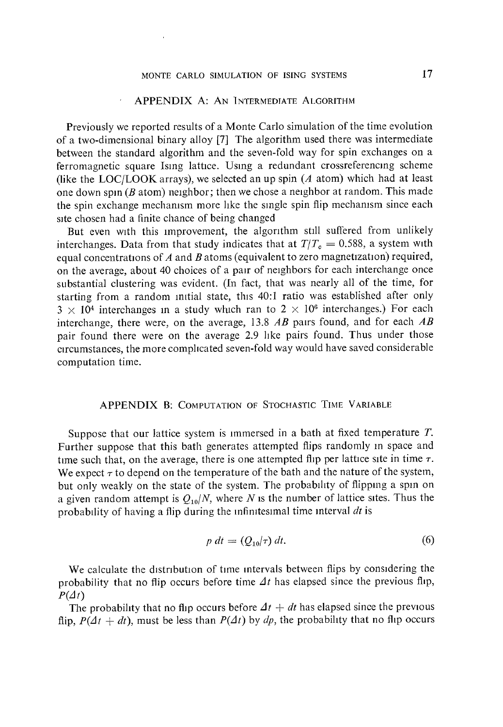# **MONTE CARLO SIMULATION OF ISING SYSTEMS 17**

# • APPENDIX A: AN INTERMEDIATE ALGORITHM

Previously we reported results of a Monte Carlo simulation of the time evolution of a two-dimensional binary alloy [7] The algorithm used there was intermediate between the standard algorithm and the seven-fold way for spin exchanges on a ferromagnetic square Ismg lattice. Using a redundant crossreferencing scheme (like the LOG/LOOK arrays), we selected an up spin *(A* atom) which had at least one down spin  $(B \text{ atom})$  neighbor; then we chose a neighbor at random. This made the spin exchange mechanism more like the single spin flip mechanism since each site chosen had a finite chance of being changed

But even with this improvement, the algorithm still suffered from unlikely interchanges. Data from that study indicates that at  $T/T_e = 0.588$ , a system with equal concentrations of *A* and *B* atoms (equivalent to zero magnetization) required, on the average, about 40 choices of a pair of neighbors for each interchange once substantial clustering was evident. (In fact, that was nearly all of the time, for starting from a random initial state, this 40:1 ratio was established after only  $3 \times 10^4$  interchanges in a study which ran to  $2 \times 10^6$  interchanges.) For each interchange, there were, on the average, 13.8 *AB* pairs found, and for each *AB* pair found there were on the average 2.9 like pairs found. Thus under those circumstances, the more complicated seven-fold way would have saved considerable computation time.

## APPENDIX B: COMPUTATION OF STOCHASTIC TIME VARIABLE

Suppose that our lattice system is immersed in a bath at fixed temperature *T.* Further suppose that this bath generates attempted flips randomly in space and time such that, on the average, there is one attempted flip per lattice site in time  $\tau$ . We expect  $\tau$  to depend on the temperature of the bath and the nature of the system, but only weakly on the state of the system. The probability of flipping a spin on a given random attempt is  $Q_{10}/N$ , where N is the number of lattice sites. Thus the probability of having a flip during the infinitesimal time interval *dt* is

$$
p \, dt = (Q_{10}|\tau) \, dt. \tag{6}
$$

We calculate the distribution of time intervals between flips by considering the probability that no flip occurs before time  $\Delta t$  has elapsed since the previous flip,  $P(\Delta t)$ 

The probability that no flip occurs before  $\Delta t + dt$  has elapsed since the previous flip,  $P(\Delta t + dt)$ , must be less than  $P(\Delta t)$  by dp, the probability that no flip occurs